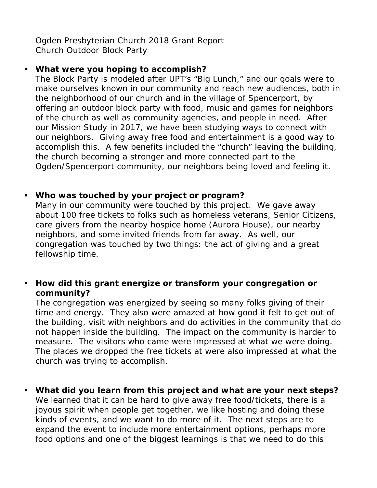Ogden Presbyterian Church 2018 Grant Report Church Outdoor Block Party

## **What were you hoping to accomplish?**

The Block Party is modeled after UPT's "Big Lunch," and our goals were to make ourselves known in our community and reach new audiences, both in the neighborhood of our church and in the village of Spencerport, by offering an outdoor block party with food, music and games for neighbors of the church as well as community agencies, and people in need. After our Mission Study in 2017, we have been studying ways to connect with our neighbors. Giving away free food and entertainment is a good way to accomplish this. A few benefits included the "church" leaving the building, the church becoming a stronger and more connected part to the Ogden/Spencerport community, our neighbors being loved and feeling it.

## **Who was touched by your project or program?**

Many in our community were touched by this project. We gave away about 100 free tickets to folks such as homeless veterans, Senior Citizens, care givers from the nearby hospice home (Aurora House), our nearby neighbors, and some invited friends from far away. As well, our congregation was touched by two things: the act of giving and a great fellowship time.

## **How did this grant energize or transform your congregation or community?**

The congregation was energized by seeing so many folks giving of their time and energy. They also were amazed at how good it felt to get out of the building, visit with neighbors and do activities in the community that do not happen inside the building. The impact on the community is harder to measure. The visitors who came were impressed at what we were doing. The places we dropped the free tickets at were also impressed at what the church was trying to accomplish.

 **What did you learn from this project and what are your next steps?** We learned that it can be hard to give away free food/tickets, there is a joyous spirit when people get together, we like hosting and doing these kinds of events, and we want to do more of it. The next steps are to expand the event to include more entertainment options, perhaps more food options and one of the biggest learnings is that we need to do this